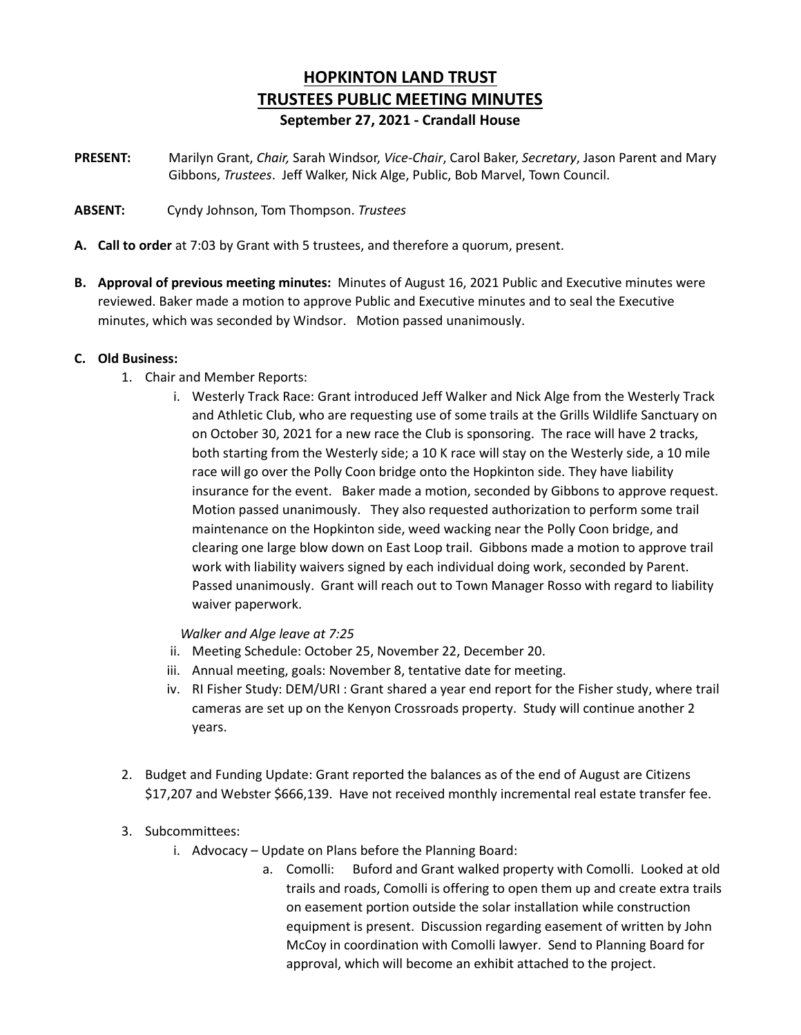# **HOPKINTON LAND TRUST TRUSTEES PUBLIC MEETING MINUTES September 27, 2021 - Crandall House**

- **PRESENT:** Marilyn Grant, *Chair,* Sarah Windsor, *Vice-Chair*, Carol Baker, *Secretary*, Jason Parent and Mary Gibbons, *Trustees*. Jeff Walker, Nick Alge, Public, Bob Marvel, Town Council.
- **ABSENT:** Cyndy Johnson, Tom Thompson. *Trustees*
- **A. Call to order** at 7:03 by Grant with 5 trustees, and therefore a quorum, present.
- **B. Approval of previous meeting minutes:** Minutes of August 16, 2021 Public and Executive minutes were reviewed. Baker made a motion to approve Public and Executive minutes and to seal the Executive minutes, which was seconded by Windsor. Motion passed unanimously.

#### **C. Old Business:**

- 1. Chair and Member Reports:
	- i. Westerly Track Race: Grant introduced Jeff Walker and Nick Alge from the Westerly Track and Athletic Club, who are requesting use of some trails at the Grills Wildlife Sanctuary on on October 30, 2021 for a new race the Club is sponsoring. The race will have 2 tracks, both starting from the Westerly side; a 10 K race will stay on the Westerly side, a 10 mile race will go over the Polly Coon bridge onto the Hopkinton side. They have liability insurance for the event. Baker made a motion, seconded by Gibbons to approve request. Motion passed unanimously. They also requested authorization to perform some trail maintenance on the Hopkinton side, weed wacking near the Polly Coon bridge, and clearing one large blow down on East Loop trail. Gibbons made a motion to approve trail work with liability waivers signed by each individual doing work, seconded by Parent. Passed unanimously. Grant will reach out to Town Manager Rosso with regard to liability waiver paperwork.

*Walker and Alge leave at 7:25*

- ii. Meeting Schedule: October 25, November 22, December 20.
- iii. Annual meeting, goals: November 8, tentative date for meeting.
- iv. RI Fisher Study: DEM/URI : Grant shared a year end report for the Fisher study, where trail cameras are set up on the Kenyon Crossroads property. Study will continue another 2 years.
- 2. Budget and Funding Update: Grant reported the balances as of the end of August are Citizens \$17,207 and Webster \$666,139. Have not received monthly incremental real estate transfer fee.
- 3. Subcommittees:
	- i. Advocacy Update on Plans before the Planning Board:
		- a. Comolli: Buford and Grant walked property with Comolli. Looked at old trails and roads, Comolli is offering to open them up and create extra trails on easement portion outside the solar installation while construction equipment is present. Discussion regarding easement of written by John McCoy in coordination with Comolli lawyer. Send to Planning Board for approval, which will become an exhibit attached to the project.